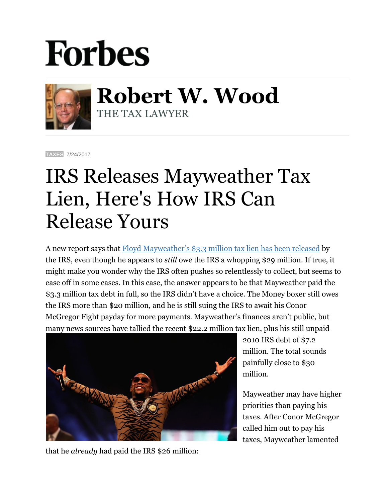## **Forbes**



**Robert W. Wood**  THE TAX LAWYER

**[TAXES](https://www.forbes.com/taxes)** 7/24/2017

## IRS Releases Mayweather Tax Lien, Here's How IRS Can Release Yours

A new report says that Floyd Mayweather's \$3.3 million [tax lien has been released](https://www.google.com/url?sa=t&rct=j&q=&esrc=s&source=web&cd=1&cad=rja&uact=8&ved=0ahUKEwiLmszn553VAhUCNT4KHZgzCdYQFggiMAA&url=http%3A%2F%2Fthejasminebrand.com%2F2017%2F07%2F21%2Fexclusive-floyd-mayweather-3-3-mill-tax-lien-released-still-owes-29-mill%2F&usg=AFQjCNE277-dubya5FxniV9QOmzDRoxwlg) by the IRS, even though he appears to *still* owe the IRS a whopping \$29 million. If true, it might make you wonder why the IRS often pushes so relentlessly to collect, but seems to ease off in some cases. In this case, the answer appears to be that Mayweather paid the \$3.3 million tax debt in full, so the IRS didn't have a choice. The Money boxer still owes the IRS more than \$20 million, and he is still suing the IRS to await his Conor McGregor Fight payday for more payments. Mayweather's finances aren't public, but many news sources have tallied the recent \$22.2 million tax lien, plus his still unpaid



that he *already* had paid the IRS \$26 million:

2010 IRS debt of \$7.2 million. The total sounds painfully close to \$30 million.

Mayweather may have higher priorities than paying his taxes. After Conor McGregor called him out to pay his taxes, Mayweather lamented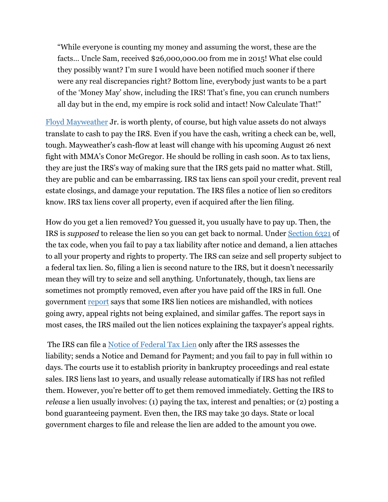"While everyone is counting my money and assuming the worst, these are the facts… Uncle Sam, received \$26,000,000.00 from me in 2015! What else could they possibly want? I'm sure I would have been notified much sooner if there were any real discrepancies right? Bottom line, everybody just wants to be a part of the 'Money May' show, including the IRS! That's fine, you can crunch numbers all day but in the end, my empire is rock solid and intact! Now Calculate That!"

[Floyd Mayweather](https://www.google.com/url?sa=t&rct=j&q=&esrc=s&source=web&cd=3&cad=rja&uact=8&ved=0ahUKEwiY3cyK_s7NAhUY9GMKHaaSC5sQFggvMAI&url=http%3A%2F%2Fwww.forbes.com%2Fprofile%2Ffloyd-mayweather%2F&usg=AFQjCNFvmEYRJjY7JRlvVK7F7a7USeIVPw) Jr. is worth plenty, of course, but high value assets do not always translate to cash to pay the IRS. Even if you have the cash, writing a check can be, well, tough. Mayweather's cash-flow at least will change with his upcoming August 26 next fight with MMA's Conor McGregor. He should be rolling in cash soon. As to tax liens, they are just the IRS's way of making sure that the IRS gets paid no matter what. Still, they are public and can be embarrassing. IRS tax liens can spoil your credit, prevent real estate closings, and damage your reputation. The IRS files a notice of lien so creditors know. IRS tax liens cover all property, even if acquired after the lien filing.

How do you get a lien removed? You guessed it, you usually have to pay up. Then, the IRS is *supposed* to release the lien so you can get back to normal. Under [Section 6321](http://codes.lp.findlaw.com/uscode/26/F/64/C/II/6321) of the tax code, when you fail to pay a tax liability after notice and demand, a lien attaches to all your property and rights to property. The IRS can seize and sell property subject to a federal tax lien. So, filing a lien is second nature to the IRS, but it doesn't necessarily mean they will try to seize and sell anything. Unfortunately, though, tax liens are sometimes not promptly removed, even after you have paid off the IRS in full. One government [report](http://www.treasury.gov/tigta/auditreports/2015reports/201530055fr.html) says that some IRS lien notices are mishandled, with notices going awry, appeal rights not being explained, and similar gaffes. The report says in most cases, the IRS mailed out the lien notices explaining the taxpayer's appeal rights.

The IRS can file a [Notice of Federal Tax Lien](http://www.irs.gov/businesses/small/article/0,,id=108339,00.html#Notice) only after the IRS assesses the liability; sends a Notice and Demand for Payment; and you fail to pay in full within 10 days. The courts use it to establish priority in bankruptcy proceedings and real estate sales. IRS liens last 10 years, and usually release automatically if IRS has not refiled them. However, you're better off to get them removed immediately. Getting the IRS to *release* a lien usually involves: (1) paying the tax, interest and penalties; or (2) posting a bond guaranteeing payment. Even then, the IRS may take 30 days. State or local government charges to file and release the lien are added to the amount you owe.